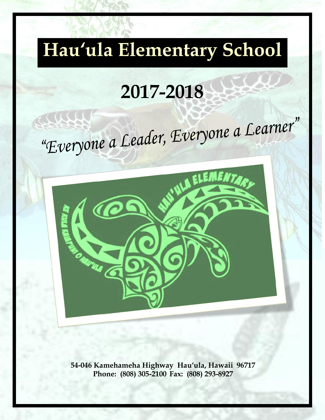# **Hau'ula Elementary School**

# **2017-2018**

# "Everyone a Leader, Everyone a Learner"



**54-046 Kamehameha Highway Hau'ula, Hawaii 96717 Phone: (808) 305-2100 Fax: (808) 293-8927**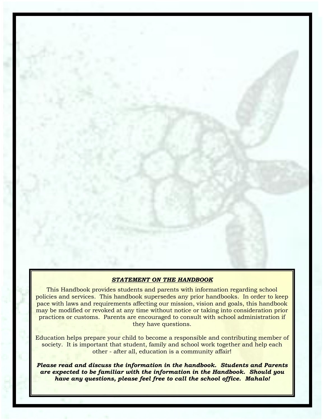## *STATEMENT ON THE HANDBOOK*

This Handbook provides students and parents with information regarding school policies and services. This handbook supersedes any prior handbooks. In order to keep pace with laws and requirements affecting our mission, vision and goals, this handbook may be modified or revoked at any time without notice or taking into consideration prior practices or customs. Parents are encouraged to consult with school administration if they have questions.

Education helps prepare your child to become a responsible and contributing member of society. It is important that student, family and school work together and help each other - after all, education is a community affair!

*Please read and discuss the information in the handbook. Students and Parents are expected to be familiar with the information in the Handbook. Should you have any questions, please feel free to call the school office. Mahalo!*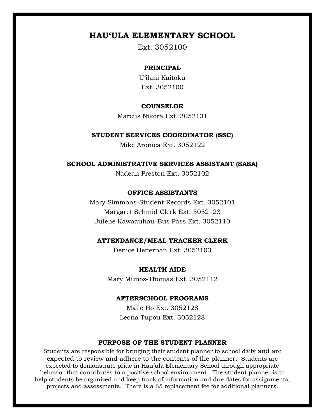# **HAU'ULA ELEMENTARY SCHOOL**

Ext. 3052100

# **PRINCIPAL**

U'ilani Kaitoku Ext. 3052100

#### **COUNSELOR**

Marcus Nikora Ext. 3052131

#### **STUDENT SERVICES COORDINATOR (SSC)**

Mike Aronica Ext. 3052122

#### **SCHOOL ADMINISTRATIVE SERVICES ASSISTANT (SASA)**

Nadean Preston Ext. 3052102

# **OFFICE ASSISTANTS**

Mary Simmons-Student Records Ext. 3052101 Margaret Schmid Clerk Ext. 3052123 Julene Kawaauhau-Bus Pass Ext. 3052110

#### **ATTENDANCE/MEAL TRACKER CLERK**

Denice Heffernan Ext. 3052103

### **HEALTH AIDE**

Mary Munoz-Thomas Ext. 3052112

#### **AFTERSCHOOL PROGRAMS**

Maile Ho Ext. 3052128 Leona Tupou Ext. 3052128

#### **PURPOSE OF THE STUDENT PLANNER**

Students are responsible for bringing their student planner to school daily and are expected to review and adhere to the contents of the planner. Students are expected to demonstrate pride in Hau'ula Elementary School through appropriate behavior that contributes to a positive school environment. The student planner is to help students be organized and keep track of information and due dates for assignments, projects and assessments. There is a \$5 replacement fee for additional planners.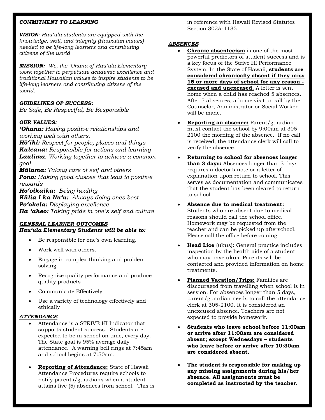#### *COMMITMENT TO LEARNING*

*VISION: Hau'ula students are equipped with the knowledge, skill, and integrity (Hawaiian values) needed to be life-long learners and contributing citizens of the world*

*MISSION: We, the 'Ohana of Hau'ula Elementary work together to perpetuate academic excellence and traditional Hawaiian values to inspire students to be life-long learners and contributing citizens of the world.*

### *GUIDELINES OF SUCCESS:*

*Be Safe, Be Respectful, Be Responsible*

# *OUR VALUES:*

*'Ohana: Having positive relationships and working well with others.*

*Hō'ihi: Respect for people, places and things Kuleana: Responsible for actions and learning Laulima: Working together to achieve a common goal*

*Mālama: Taking care of self and others Pono: Making good choices that lead to positive rewards*

*Ho'oikaika: Being healthy Kūlia I ka Nu'u: Always doing ones best Po'okela: Displaying excellence Ha 'aheo: Taking pride in one's self and culture*

#### *GENERAL LEARNER OUTCOMES Hau'ula Elementary Students will be able to:*

- Be responsible for one's own learning.
- Work well with others.
- Engage in complex thinking and problem solving
- Recognize quality performance and produce quality products
- Communicate Effectively
- Use a variety of technology effectively and ethically

#### *ATTENDANCE*

- Attendance is a STRIVE HI Indicator that supports student success. Students are expected to be in school on time, every day. The State goal is 95% average daily attendance. A warning bell rings at 7:45am and school begins at 7:50am.
- **Reporting of Attendance:** State of Hawaii Attendance Procedures require schools to notify parents/guardians when a student attains five (5) absences from school. This is

in reference with Hawaii Revised Statutes Section 302A-1135.

#### *ABSENCES*

- **Chronic absenteeism** is one of the most powerful predictors of student success and is a key focus of the Strive HI Performance System. In the State of Hawaii, **students are considered chronically absent if they miss 15 or more days of school for any reason excused and unexcused.** A letter is sent home when a child has reached 5 absences. After 5 absences, a home visit or call by the Counselor, Administrator or Social Worker will be made.
- **Reporting an absence:** Parent/guardian must contact the school by 9:00am at 305- 2100 the morning of the absence. If no call is received, the attendance clerk will call to verify the absence.
- **Returning to school for absences longer than 3 days:** Absences longer than 3 days requires a doctor's note or a letter of explanation upon return to school. This serves as documentation and communicates that the student has been cleared to return to school.
- **Absence due to medical treatment:**  Students who are absent due to medical reasons should call the school office. Homework may be requested from the teacher and can be picked up afterschool. Please call the office before coming.
- **Head Lice** (ukus)**:** General practice includes inspection by the health aide of a student who may have ukus. Parents will be contacted and provided information on home treatments.
- **Planned Vacation/Trips:** Families are discouraged from travelling when school is in session. For absences longer than 5 days, parent/guardian needs to call the attendance clerk at 305-2100. It is considered an unexcused absence. Teachers are not expected to provide homework.
- **Students who leave school before 11:00am or arrive after 11:00am are considered absent; except Wednesdays – students who leave before or arrive after 10:30am are considered absent.**
- **The student is responsible for making up any missing assignments during his/her absence. All assignments must be completed as instructed by the teacher.**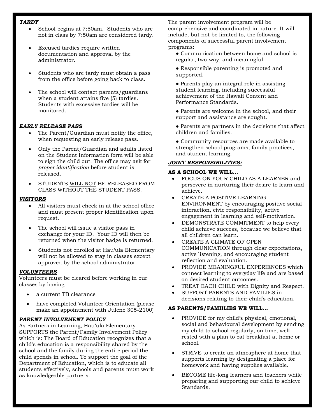#### *TARDY*

- School begins at 7:50am. Students who are not in class by 7:50am are considered tardy.
- Excused tardies require written documentation and approval by the administrator.
- Students who are tardy must obtain a pass from the office before going back to class.
- The school will contact parents/guardians when a student attains five (5) tardies. Students with excessive tardies will be monitored.

#### *EARLY RELEASE PASS*

- The Parent/Guardian must notify the office, when requesting an early release pass.
- Only the Parent/Guardian and adults listed on the Student Information form will be able to sign the child out. The office may ask for *proper identification* before student is released.
- STUDENTS WILL NOT BE RELEASED FROM CLASS WITHOUT THE STUDENT PASS.

#### *VISITORS*

- All visitors must check in at the school office and must present proper identification upon request.
- The school will issue a visitor pass in exchange for your ID. Your ID will then be returned when the visitor badge is returned.
- Students not enrolled at Hau'ula Elementary will not be allowed to stay in classes except approved by the school administrator.

#### *VOLUNTEERS*

Volunteers must be cleared before working in our classes by having

- a current TB clearance
- have completed Volunteer Orientation (please make an appointment with Julene 305-2100)

#### *PARENT INVOLVEMENT POLICY*

As Partners in Learning, Hau'ula Elementary SUPPORTS the Parent/Family Involvement Policy which is: The Board of Education recognizes that a child's education is a responsibility shared by the school and the family during the entire period the child spends in school. To support the goal of the Department of Education, which is to educate all students effectively, schools and parents must work as knowledgeable partners.

The parent involvement program will be comprehensive and coordinated in nature. It will include, but not be limited to, the following components of successful parent involvement programs:

- Communication between home and school is regular, two-way, and meaningful.
- Responsible parenting is promoted and supported.
- Parents play an integral role in assisting student learning, including successful achievement of the Hawaii Content and Performance Standards.
- Parents are welcome in the school, and their support and assistance are sought.
- Parents are partners in the decisions that affect children and families.
- Community resources are made available to strengthen school programs, family practices, and student learning.

#### *JOINT RESPONSIBILITIES:*

#### **AS A SCHOOL WE WILL…**

- FOCUS ON YOUR CHILD AS A LEARNER and persevere in nurturing their desire to learn and achieve.
- CREATE A POSITIVE LEARNING ENVIRONMENT by encouraging positive social interaction, civic responsibility, active engagement in learning and self-motivation.
- DEMONSTRATE COMMITMENT to help every child achieve success, because we believe that all children can learn.
- CREATE A CLIMATE OF OPEN COMMUNICATION through clear expectations, active listening, and encouraging student reflection and evaluation.
- PROVIDE MEANINGFUL EXPERIENCES which connect learning to everyday life and are based on desired student outcomes.
- TREAT EACH CHILD with Dignity and Respect.
- SUPPORT PARENTS AND FAMILIES in decisions relating to their child's education.

#### **AS PARENTS/FAMIILIES WE WILL…**

- PROVIDE for my child's physical, emotional, social and behavioural development by sending my child to school regularly, on time, well rested with a plan to eat breakfast at home or school.
- STRIVE to create an atmosphere at home that supports learning by designating a place for homework and having supplies available.
- BECOME life-long learners and teachers while preparing and supporting our child to achieve Standards.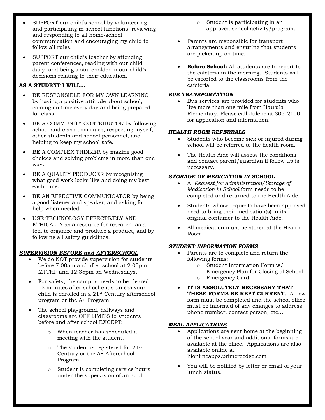- SUPPORT our child's school by volunteering and participating in school functions, reviewing and responding to all home-school communication and encouraging my child to follow all rules.
- SUPPORT our child's teacher by attending parent conferences, reading with our child daily, and being a stakeholder in our child's decisions relating to their education.

#### **AS A STUDENT I WILL…**

- BE RESPONSIBLE FOR MY OWN LEARNING by having a positive attitude about school, coming on time every day and being prepared for class.
- BE A COMMUNITY CONTRIBUTOR by following school and classroom rules, respecting myself, other students and school personnel, and helping to keep my school safe.
- BE A COMPLEX THINKER by making good choices and solving problems in more than one way.
- BE A QUALITY PRODUCER by recognizing what good work looks like and doing my best each time.
- BE AN EFFECTIVE COMMUNICATOR by being a good listener and speaker, and asking for help when needed.
- USE TECHNOLOGY EFFECTIVELY AND ETHICALLY as a resource for research, as a tool to organize and produce a product, and by following all safety guidelines.

#### *SUPERVISION BEFORE and AFTERSCHOOL*

- We do NOT provide supervision for students before 7:00am and after school at 2:05pm MTTHF and 12:35pm on Wednesdays.
- For safety, the campus needs to be cleared 15 minutes after school ends unless your child is enrolled in a 21st Century afterschool program or the A+ Program.
- The school playground, hallways and classrooms are OFF LIMITS to students before and after school EXCEPT:
	- o When teacher has scheduled a meeting with the student.
	- o The student is registered for 21st Century or the A+ Afterschool Program.
	- Student is completing service hours under the supervision of an adult.
- o Student is participating in an approved school activity/program.
- Parents are responsible for transport arrangements and ensuring that students are picked up on time.
- **Before School:** All students are to report to the cafeteria in the morning. Students will be escorted to the classrooms from the cafeteria.

#### *BUS TRANSPORTATION*

 Bus services are provided for students who live more than one mile from Hau'ula Elementary. Please call Julene at 305-2100 for application and information.

#### *HEALTH ROOM REFERRALS*

- Students who become sick or injured during school will be referred to the health room.
- The Health Aide will assess the conditions and contact parent/guardian if follow up is necessary.

#### *STORAGE OF MEDICATION IN SCHOOL*

- A *Request for Administration/Storage of Medication in School* form needs to be completed and returned to the Health Aide.
- Students whose requests have been approved need to bring their medication(s) in its original container to the Health Aide.
- All medication must be stored at the Health Room.

#### *STUDENT INFORMATION FORMS*

- Parents are to complete and return the following forms:
	- o Student Information Form w/
	- Emergency Plan for Closing of School
	- o Emergency Card
- **IT IS ABSOLUTELY NECESSARY THAT THESE FORMS BE KEPT CURRENT.** A new form must be completed and the school office must be informed of any changes to address, phone number, contact person, etc...

#### *MEAL APPLICATIONS*

- Applications are sent home at the beginning of the school year and additional forms are available at the office. Applications are also available online at hionlineapps.primeroedge.com
- You will be notified by letter or email of your lunch status.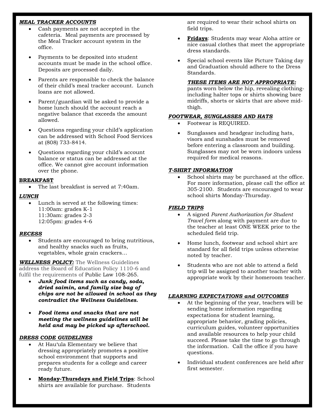#### *MEAL TRACKER ACCOUNTS*

- Cash payments are not accepted in the cafeteria. Meal payments are processed by the Meal Tracker account system in the office.
- Payments to be deposited into student accounts must be made in the school office. Deposits are processed daily.
- Parents are responsible to check the balance of their child's meal tracker account. Lunch loans are not allowed.
- Parent/guardian will be asked to provide a home lunch should the account reach a negative balance that exceeds the amount allowed.
- Questions regarding your child's application can be addressed with School Food Services at (808) 733-8414.
- Questions regarding your child's account balance or status can be addressed at the office. We cannot give account information over the phone.

#### **BREAKFAST**

• The last breakfast is served at 7:40am.

#### *LUNCH*

 Lunch is served at the following times: 11:00am: grades K-1 11:30am: grades 2-3 12:05pm: grades 4-6

#### *RECESS*

 Students are encouraged to bring nutritious, and healthy snacks such as fruits, vegetables, whole grain crackers…

*WELLNESS POLICY:* The Wellness Guidelines address the Board of Education Policy 1110-6 and fulfil the requirements of Public Law 108-265.

- *Junk food items such as candy, soda, dried saimin, and family size bag of chips are not be allowed in school as they contradict the Wellness Guidelines.*
- *Food items and snacks that are not meeting the wellness guidelines will be held and may be picked up afterschool.*

#### *DRESS CODE GUIDELINES*

- At Hau'ula Elementary we believe that dressing appropriately promotes a positive school environment that supports and prepares students for a college and career ready future.
- **Monday-Thursdays and Field Trips**: School shirts are available for purchase. Students

are required to wear their school shirts on field trips.

- **Fridays**: Students may wear Aloha attire or nice casual clothes that meet the appropriate dress standards.
- Special school events like Picture Taking day and Graduation should adhere to the Dress Standards.

#### *THESE ITEMS ARE NOT APPROPRIATE:*

pants worn below the hip, revealing clothingincluding halter tops or shirts showing bare midriffs, shorts or skirts that are above midthigh.

#### *FOOTWEAR, SUNGLASSES AND HATS*

- Footwear is REQUIRED.
- Sunglasses and headgear including hats, visors and sunshades must be removed before entering a classroom and building. Sunglasses may not be worn indoors unless required for medical reasons.

#### *T-SHIRT INFORMATION*

 School shirts may be purchased at the office. For more information, please call the office at 305-2100. Students are encouraged to wear school shirts Monday-Thursday.

#### *FIELD TRIPS*

- A signed *Parent Authorization for Student Travel form* along with payment are due to the teacher at least ONE WEEK prior to the scheduled field trip.
- Home lunch, footwear and school shirt are standard for all field trips unless otherwise noted by teacher.
- Students who are not able to attend a field trip will be assigned to another teacher with appropriate work by their homeroom teacher.

#### *LEARNING EXPECTATIONS and OUTCOMES*

- At the beginning of the year, teachers will be sending home information regarding expectations for student learning, appropriate behavior, grading policies, curriculum guides, volunteer opportunities and available resources to help your child succeed. Please take the time to go through the information. Call the office if you have questions.
- Individual student conferences are held after first semester.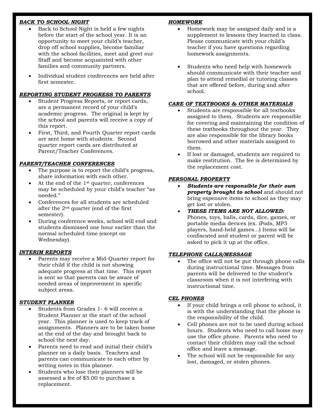### *BACK TO SCHOOL NIGHT*

- Back to School Night is held a few nights before the start of the school year. It is an opportunity to meet your child's teacher, drop off school supplies, become familiar with the school facilities, meet and greet our Staff and become acquainted with other families and community partners.
- Individual student conferences are held after first semester.

# *REPORTING STUDENT PROGRESS TO PARENTS*

- Student Progress Reports, or report cards, are a permanent record of your child's academic progress. The original is kept by the school and parents will receive a copy of this report.
- First, Third, and Fourth Quarter report cards are sent home with students. Second quarter report cards are distributed at Parent/Teacher Conferences.

# *PARENT/TEACHER CONFERENCES*

- The purpose is to report the child's progress, share information with each other.
- At the end of the 1st quarter, conferences may be scheduled by your child's teacher "as needed."
- Conferences for all students are scheduled after the 2nd quarter (end of the first semester).
- During conference weeks, school will end and students dismissed one hour earlier than the normal scheduled time (except on Wednesday).

# *INTERIM REPORTS*

 Parents may receive a Mid-Quarter report for their child if the child is not showing adequate progress at that time. This report is sent so that parents can be aware of needed areas of improvement in specific subject areas.

# *STUDENT PLANNER*

- Students from Grades 1- 6 will receive a Student Planner at the start of the school year. This planner is used to keep track of assignments. Planners are to be taken home at the end of the day and brought back to school the next day.
- Parents need to read and initial their child's planner on a daily basis. Teachers and parents can communicate to each other by writing notes in this planner.
- Students who lose their planners will be assessed a fee of \$5.00 to purchase a replacement.

# *HOMEWORK*

- Homework may be assigned daily and is a supplement to lessons they learned in class. Please communicate with your child's teacher if you have questions regarding homework assignments.
- Students who need help with homework should communicate with their teacher and plan to attend remedial or tutoring classes that are offered before, during and after school.

# *CARE OF TEXTBOOKS & OTHER MATERIALS*

- Students are responsible for all textbooks assigned to them. Students are responsible for covering and maintaining the condition of these textbooks throughout the year. They are also responsible for the library books borrowed and other materials assigned to them.
- If lost or damaged, students are required to make restitution. The fee is determined by the replacement cost.

## *PERSONAL PROPERTY*

- *Students are responsible for their own property brought to school* and should not bring expensive items to school as they may get lost or stolen.
- *THESE ITEMS ARE NOT ALLOWED:*  Phones, toys, balls, cards, dice, games, or portable media devices (ex. iPods, MP3 players, hand-held games...) Items will be confiscated and student or parent will be asked to pick it up at the office.

# *TELEPHONE CALLS/MESSAGE*

 The office will not be put through phone calls during instructional time. Messages from parents will be delivered to the student's classroom when it is not interfering with instructional time.

# *CEL PHONES*

- If your child brings a cell phone to school, it is with the understanding that the phone is the responsibility of the child.
- Cell phones are not to be used during school hours. Students who need to call home may use the office phone. Parents who need to contact their children may call the school office and leave a message.
- The school will not be responsible for any lost, damaged, or stolen phones.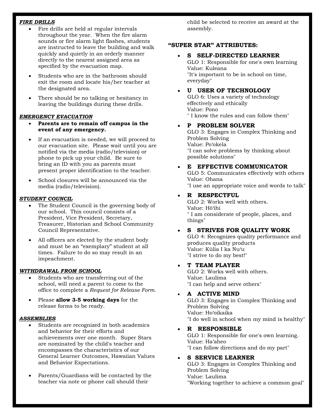#### *FIRE DRILLS*

- Fire drills are held at regular intervals throughout the year. When the fire alarm sounds or fire alarm light flashes, students are instructed to leave the building and walk quickly and quietly in an orderly manner directly to the nearest assigned area as specified by the evacuation map.
- Students who are in the bathroom should exit the room and locate his/her teacher at the designated area.
- There should be no talking or hesitancy in leaving the buildings during these drills.

#### *EMERGENCY EVACUATION*

- **Parents are to remain off campus in the event of any emergency.**
- If an evacuation is needed, we will proceed to our evacuation site. Please wait until you are notified via the media (radio/television) or phone to pick up your child. Be sure to bring an ID with you as parents must present proper identification to the teacher.
- School closures will be announced via the media (radio/television).

#### *STUDENT COUNCIL*

- The Student Council is the governing body of our school. This council consists of a President, Vice President, Secretary, Treasurer, Historian and School Community Council Representative.
- All officers are elected by the student body and must be an "exemplary" student at all times. Failure to do so may result in an impeachment.

#### *WITHDRAWAL FROM SCHOOL*

- Students who are transferring out of the school, will need a parent to come to the office to complete a *Request for Release Form*.
- Please **allow 3-5 working days** for the release forms to be ready.

#### *ASSEMBLIES*

- Students are recognized in both academics and behavior for their efforts and achievements over one month. Super Stars are nominated by the child's teacher and encompasses the characteristics of our General Learner Outcomes, Hawaiian Values and Behavior Expectations.
- Parents/Guardians will be contacted by the teacher via note or phone call should their

child be selected to receive an award at the assembly.

#### **"SUPER STAR" ATTRIBUTES:**

 **S SELF-DIRECTED LEARNER** GLO 1: Responsible for one's own learning Value: Kuleana

"It's important to be in school on time, everyday"

#### **U USER OF TECHNOLOGY**

GLO 6: Uses a variety of technology effectively and ethically Value: Pono " I know the rules and can follow them"

#### **P PROBLEM SOLVER**

GLO 3: Engages in Complex Thinking and Problem Solving Value: Po'okela "I can solve problems by thinking about possible solutions"

#### **E EFFECTIVE COMMUNICATOR**

GLO 5: Communicates effectively with others Value: Ohana "I use an appropriate voice and words to talk"

#### **R RESPECTFUL**

GLO 2: Works well with others. Value: Hō'ihi " I am considerate of people, places, and things"

#### **S STRIVES FOR QUALITY WORK**

GLO 4: Recognizes quality performance and produces quality products Value: Kūlia I ka Nu'u "I strive to do my best!"

#### **T TEAM PLAYER**

GLO 2: Works well with others. Value: Laulima "I can help and serve others"

#### **A ACTIVE MIND**

GLO 3: Engages in Complex Thinking and Problem Solving Value: Ho'oikaika "I do well in school when my mind is healthy"

**R RESPONSIBLE**

GLO 1: Responsible for one's own learning. Value: Ha'aheo "I can follow directions and do my part"

#### **S SERVICE LEARNER**

GLO 3: Engages in Complex Thinking and Problem Solving Value: Laulima "Working together to achieve a common goal"